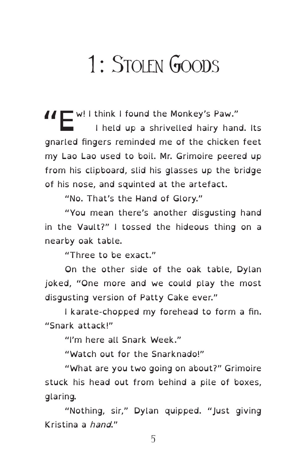## 1: STOLEN GOODS

II W! I think I found the Monkey's Paw." I held up a shrivelled hairy hand. Its gnarled fingers reminded me of the chicken feet my Lao Lao used to boil. Mr. Grimoire peered up from his clipboard, slid his glasses up the bridge of his nose, and squinted at the artefact.

"No. That's the Hand of Glory."

"You mean there's another disgusting hand in the Vault?" I tossed the hideous thing on a nearby oak table.

"Three to be exact."

On the other side of the oak table, Dylan joked, "One more and we could play the most disgusting version of Patty Cake ever."

I karate-chopped my forehead to form a fin. "Snark attack!"

"I'm here all Snark Week."

"Watch out for the Snarknado!"

"What are you two going on about?" Grimoire stuck his head out from behind a pile of boxes, glaring.

"Nothing, sir," Dylan quipped. "Just giving Kristina a hand."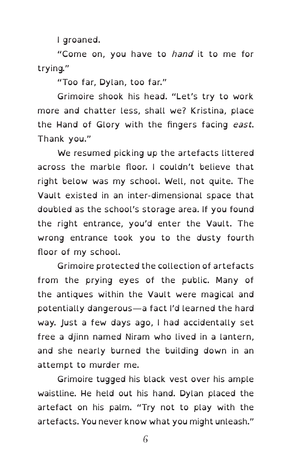I groaned.

"Come on, you have to hand it to me for trying."

"Too far, Dylan, too far."

Grimoire shook his head. "Let's try to work more and chatter less, shall we? Kristina, place the Hand of Glory with the fingers facing east. Thank you."

We resumed picking up the artefacts littered across the marble floor. I couldn't believe that right below was my school. Well, not quite. The Vault existed in an inter-dimensional space that doubled as the school's storage area. If you found the right entrance, you'd enter the Vault. The wrong entrance took you to the dusty fourth floor of my school.

Grimoire protected the collection of artefacts from the prying eyes of the public. Many of the antiques within the Vault were magical and potentially dangerous—a fact I'd learned the hard way. Just a few days ago, I had accidentally set free a djinn named Niram who lived in a lantern, and she nearly burned the building down in an attempt to murder me.

Grimoire tugged his black vest over his ample waistline. He held out his hand. Dylan placed the artefact on his palm. "Try not to play with the artefacts. You never know what you might unleash."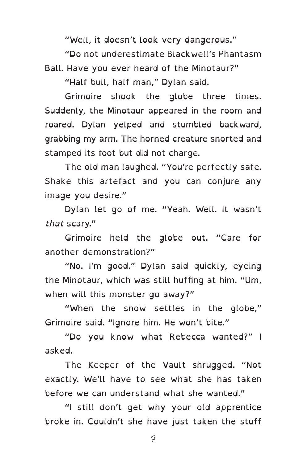"Well, it doesn't look very dangerous."

"Do not underestimate Blackwell's Phantasm Ball. Have you ever heard of the Minotaur?"

"Half bull, half man," Dylan said.

Grimoire shook the globe three times. Suddenly, the Minotaur appeared in the room and roared. Dylan yelped and stumbled backward, grabbing my arm. The horned creature snorted and stamped its foot but did not charge.

The old man laughed. "You're perfectly safe. Shake this artefact and you can conjure any image you desire."

Dylan let go of me. "Yeah. Well. It wasn't that scary."

Grimoire held the globe out. "Care for another demonstration?"

"No. I'm good." Dylan said quickly, eyeing the Minotaur, which was still huffing at him. "Um, when will this monster go away?"

"When the snow settles in the globe," Grimoire said. "Ignore him. He won't bite."

"Do you know what Rebecca wanted?" I asked.

The Keeper of the Vault shrugged. "Not exactly. We'll have to see what she has taken before we can understand what she wanted."

"I still don't get why your old apprentice broke in. Couldn't she have just taken the stuff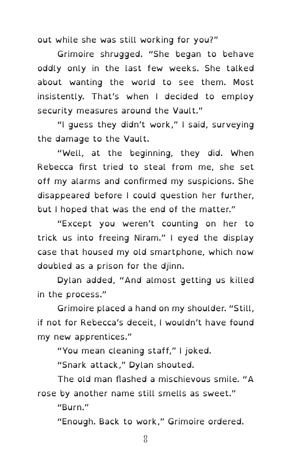out while she was still working for you?"

Grimoire shrugged. "She began to behave oddly only in the last few weeks. She talked about wanting the world to see them. Most insistently. That's when I decided to employ security measures around the Vault."

"I guess they didn't work," I said, surveying the damage to the Vault.

"Well, at the beginning, they did. When Rebecca first tried to steal from me, she set off my alarms and confirmed my suspicions. She disappeared before I could question her further, but I hoped that was the end of the matter."

"Except you weren't counting on her to trick us into freeing Niram." I eyed the display case that housed my old smartphone, which now doubled as a prison for the djinn.

Dylan added, "And almost getting us killed in the process."

Grimoire placed a hand on my shoulder. "Still, if not for Rebecca's deceit, I wouldn't have found my new apprentices."

"You mean cleaning staff," I joked.

"Snark attack," Dylan shouted.

The old man flashed a mischievous smile. "A rose by another name still smells as sweet."

"Burn."

"Enough. Back to work," Grimoire ordered.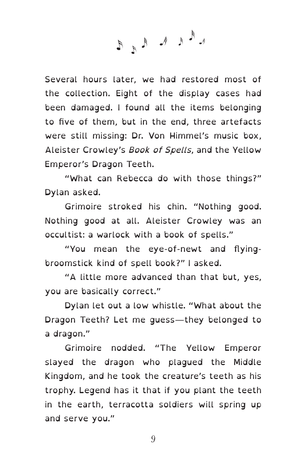L<sup>E</sup>RKERE

Several hours later, we had restored most of the collection. Eight of the display cases had been damaged. I found all the items belonging to five of them, but in the end, three artefacts were still missing: Dr. Von Himmel's music box, Aleister Crowley's Book of Spells, and the Yellow Emperor's Dragon Teeth.

"What can Rebecca do with those things?" Dylan asked.

Grimoire stroked his chin. "Nothing good. Nothing good at all. Aleister Crowley was an occultist: a warlock with a book of spells."

"You mean the eye-of-newt and flyingbroomstick kind of spell book?" I asked.

"A little more advanced than that but, yes, you are basically correct."

Dylan let out a low whistle. "What about the Dragon Teeth? Let me guess—they belonged to a dragon."

Grimoire nodded. "The Yellow Emperor slayed the dragon who plagued the Middle Kingdom, and he took the creature's teeth as his trophy. Legend has it that if you plant the teeth in the earth, terracotta soldiers will spring up and serve you."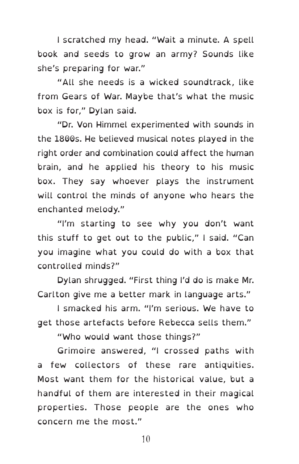I scratched my head. "Wait a minute. A spell book and seeds to grow an army? Sounds like she's preparing for war."

"All she needs is a wicked soundtrack, like from Gears of War. Maybe that's what the music box is for," Dylan said.

"Dr. Von Himmel experimented with sounds in the 1800s. He believed musical notes played in the right order and combination could affect the human brain, and he applied his theory to his music box. They say whoever plays the instrument will control the minds of anyone who hears the enchanted melody."

"I'm starting to see why you don't want this stuff to get out to the public," I said. "Can you imagine what you could do with a box that controlled minds?"

Dylan shrugged. "First thing I'd do is make Mr. Carlton give me a better mark in language arts."

I smacked his arm. "I'm serious. We have to get those artefacts before Rebecca sells them."

"Who would want those things?"

Grimoire answered, "I crossed paths with a few collectors of these rare antiquities. Most want them for the historical value, but a handful of them are interested in their magical properties. Those people are the ones who concern me the most."